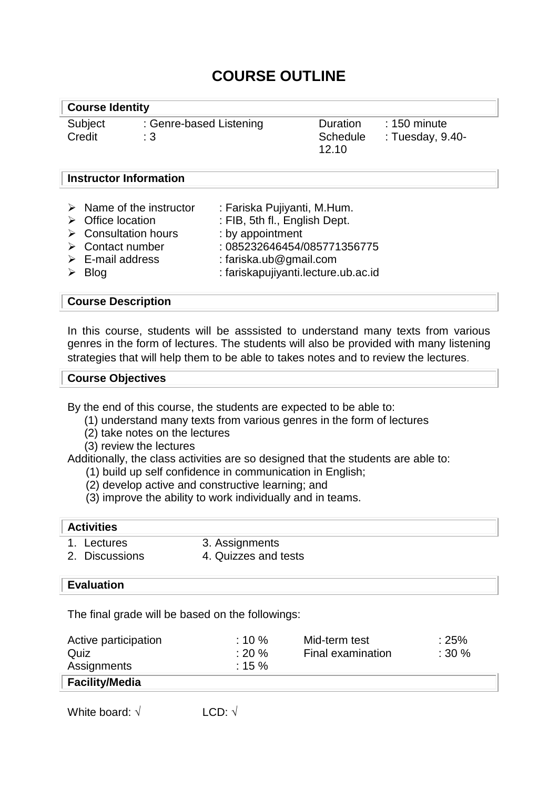# **COURSE OUTLINE**

#### **Course Identity**

Credit : 3

Subject : Genre-based Listening

Duration : 150 minute 12.10

Schedule : Tuesday, 9.40-

### **Instructor Information**

|  | $\triangleright$ Name of the instructor<br>$\triangleright$ Office location<br>$\triangleright$ Consultation hours<br>$\triangleright$ Contact number<br>$\triangleright$ E-mail address<br>$\triangleright$ Blog | : Fariska Pujiyanti, M.Hum.<br>: FIB, 5th fl., English Dept.<br>: by appointment<br>: 085232646454/085771356775<br>: fariska.ub@gmail.com<br>: fariskapujiyanti.lecture.ub.ac.id |
|--|-------------------------------------------------------------------------------------------------------------------------------------------------------------------------------------------------------------------|----------------------------------------------------------------------------------------------------------------------------------------------------------------------------------|
|--|-------------------------------------------------------------------------------------------------------------------------------------------------------------------------------------------------------------------|----------------------------------------------------------------------------------------------------------------------------------------------------------------------------------|

## **Course Description**

In this course, students will be asssisted to understand many texts from various genres in the form of lectures. The students will also be provided with many listening strategies that will help them to be able to takes notes and to review the lectures.

#### **Course Objectives**

By the end of this course, the students are expected to be able to:

- (1) understand many texts from various genres in the form of lectures
- (2) take notes on the lectures
- (3) review the lectures

Additionally, the class activities are so designed that the students are able to:

- (1) build up self confidence in communication in English;
- (2) develop active and constructive learning; and
- (3) improve the ability to work individually and in teams.

### **Activities**

- 1. Lectures 3. Assignments
- 2. Discussions 4. Quizzes and tests

#### **Evaluation**

The final grade will be based on the followings:

| Active participation  | $: 10 \%$ | Mid-term test     | :25% |
|-----------------------|-----------|-------------------|------|
| Quiz                  | $: 20 \%$ | Final examination | :30% |
| Assignments           | $: 15 \%$ |                   |      |
| <b>Facility/Media</b> |           |                   |      |
|                       |           |                   |      |

White board:  $\sqrt{ }$  LCD:  $\sqrt{ }$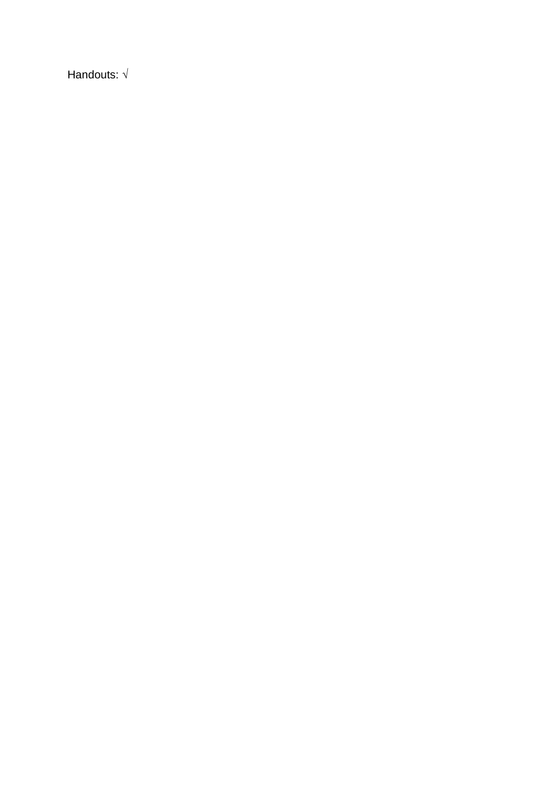Handouts:  $\sqrt{ }$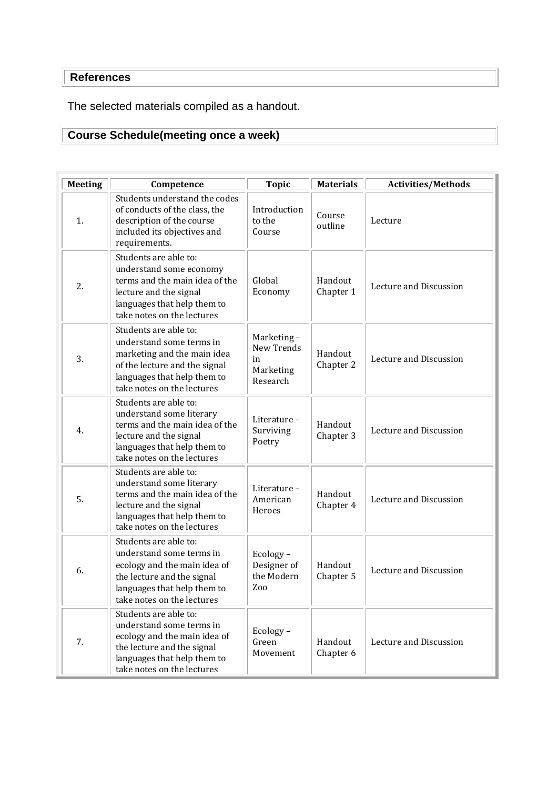# **References**

The selected materials compiled as a handout.

# **Course Schedule(meeting once a week)**

| <b>Meeting</b> | Competence                                                                                                                                                                     | <b>Topic</b>                                            | <b>Materials</b>     | <b>Activities/Methods</b> |
|----------------|--------------------------------------------------------------------------------------------------------------------------------------------------------------------------------|---------------------------------------------------------|----------------------|---------------------------|
| 1.             | Students understand the codes<br>of conducts of the class, the<br>description of the course<br>included its objectives and<br>requirements.                                    | Introduction<br>to the<br>Course                        | Course<br>outline    | Lecture                   |
| 2.             | Students are able to:<br>understand some economy<br>terms and the main idea of the<br>lecture and the signal<br>languages that help them to<br>take notes on the lectures      | Global<br>Economy                                       | Handout<br>Chapter 1 | Lecture and Discussion    |
| 3.             | Students are able to:<br>understand some terms in<br>marketing and the main idea<br>of the lecture and the signal<br>languages that help them to<br>take notes on the lectures | Marketing-<br>New Trends<br>in<br>Marketing<br>Research | Handout<br>Chapter 2 | Lecture and Discussion    |
| 4.             | Students are able to:<br>understand some literary<br>terms and the main idea of the<br>lecture and the signal<br>languages that help them to<br>take notes on the lectures     | Literature-<br>Surviving<br>Poetry                      | Handout<br>Chapter 3 | Lecture and Discussion    |
| 5.             | Students are able to:<br>understand some literary<br>terms and the main idea of the<br>lecture and the signal<br>languages that help them to<br>take notes on the lectures     | Literature-<br>American<br>Heroes                       | Handout<br>Chapter 4 | Lecture and Discussion    |
| 6.             | Students are able to:<br>understand some terms in<br>ecology and the main idea of<br>the lecture and the signal<br>languages that help them to<br>take notes on the lectures   | Ecology-<br>Designer of<br>the Modern<br>Zoo            | Handout<br>Chapter 5 | Lecture and Discussion    |
| 7.             | Students are able to:<br>understand some terms in<br>ecology and the main idea of<br>the lecture and the signal<br>languages that help them to<br>take notes on the lectures   | Ecology-<br>Green<br>Movement                           | Handout<br>Chapter 6 | Lecture and Discussion    |